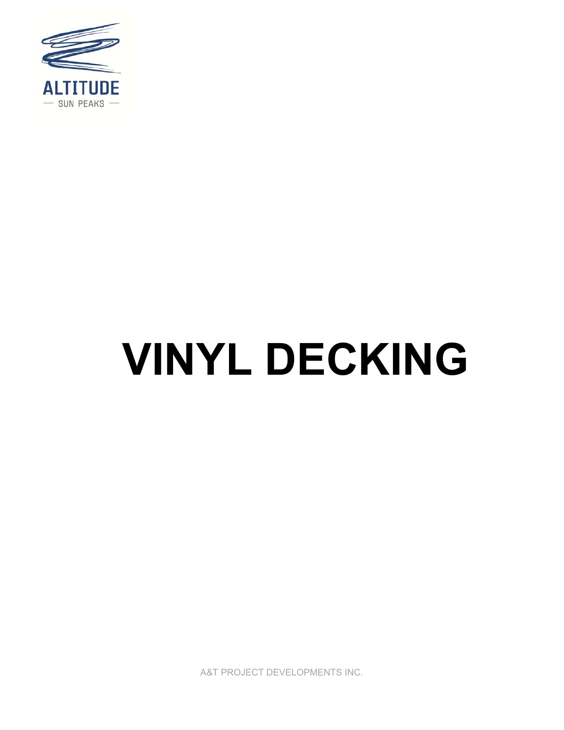

# **VINYL DECKING**

A&T PROJECT DEVELOPMENTS INC.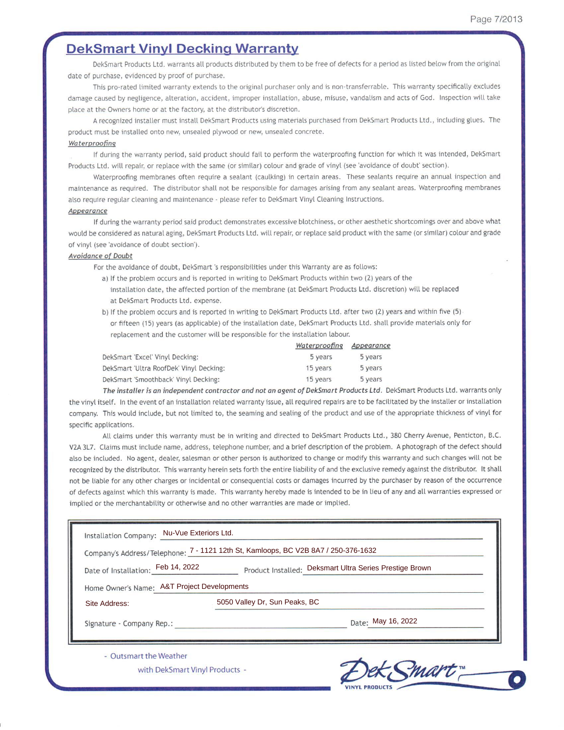# **DekSmart Vinyl Decking Warranty**

DekSmart Products Ltd. warrants all products distributed by them to be free of defects for a period as listed below from the original date of purchase, evidenced by proof of purchase.

This pro-rated limited warranty extends to the original purchaser only and is non-transferrable. This warranty specifically excludes damage caused by negligence, alteration, accident, improper installation, abuse, misuse, vandalism and acts of God. Inspection will take place at the Owners home or at the factory, at the distributor's discretion.

A recognized installer must install DekSmart Products using materials purchased from DekSmart Products Ltd., including glues. The product must be installed onto new, unsealed plywood or new, unsealed concrete.

### Waterproofing

If during the warranty period, said product should fail to perform the waterproofing function for which it was intended, DekSmart Products Ltd. will repair, or replace with the same (or similar) colour and grade of vinyl (see 'avoidance of doubt' section).

Waterproofing membranes often require a sealant (caulking) in certain areas. These sealants require an annual inspection and maintenance as required. The distributor shall not be responsible for damages arising from any sealant areas. Waterproofing membranes also require regular cleaning and maintenance - please refer to DekSmart Vinyl Cleaning Instructions.

### Appearance

If during the warranty period said product demonstrates excessive blotchiness, or other aesthetic shortcomings over and above what would be considered as natural aging, DekSmart Products Ltd. will repair, or replace said product with the same (or similar) colour and grade of vinyl (see 'avoidance of doubt section').

### Avoidance of Doubt

For the avoidance of doubt, DekSmart's responsibilities under this Warranty are as follows:

- a) If the problem occurs and is reported in writing to DekSmart Products within two (2) years of the installation date, the affected portion of the membrane (at DekSmart Products Ltd. discretion) will be replaced at DekSmart Products Ltd. expense.
- b) If the problem occurs and is reported in writing to DekSmart Products Ltd. after two (2) years and within five (5) or fifteen (15) years (as applicable) of the installation date, DekSmart Products Ltd. shall provide materials only for replacement and the customer will be responsible for the installation labour.

|                                         | Waterproofing | Appearance |
|-----------------------------------------|---------------|------------|
| DekSmart 'Excel' Vinyl Decking:         | 5 years       | 5 years    |
| DekSmart 'Ultra RoofDek' Vinyl Decking: | 15 years      | 5 years    |
| DekSmart 'Smoothback' Vinyl Decking:    | 15 years      | 5 years    |

The installer is an independent contractor and not an agent of DekSmart Products Ltd. DekSmart Products Ltd. warrants only the vinyl itself. In the event of an installation related warranty issue, all required repairs are to be facilitated by the installer or installation company. This would include, but not limited to, the seaming and sealing of the product and use of the appropriate thickness of vinyl for specific applications.

All claims under this warranty must be in writing and directed to DekSmart Products Ltd., 380 Cherry Avenue, Penticton, B.C. V2A 3L7. Claims must include name, address, telephone number, and a brief description of the problem. A photograph of the defect should also be included. No agent, dealer, salesman or other person is authorized to change or modify this warranty and such changes will not be recognized by the distributor. This warranty herein sets forth the entire liability of and the exclusive remedy against the distributor. It shall not be liable for any other charges or incidental or consequential costs or damages incurred by the purchaser by reason of the occurrence of defects against which this warranty is made. This warranty hereby made is intended to be in lieu of any and all warranties expressed or implied or the merchantability or otherwise and no other warranties are made or implied.

| Installation Company: Nu-Vue Exteriors Ltd.              | Company's Address/Telephone: 7 - 1121 12th St, Kamloops, BC V2B 8A7 / 250-376-1632 |  |  |  |  |
|----------------------------------------------------------|------------------------------------------------------------------------------------|--|--|--|--|
| Date of Installation: Feb 14, 2022                       | Product Installed: Deksmart Ultra Series Prestige Brown                            |  |  |  |  |
| Home Owner's Name: A&T Project Developments              |                                                                                    |  |  |  |  |
| Site Address:                                            | 5050 Valley Dr, Sun Peaks, BC                                                      |  |  |  |  |
| Signature - Company Rep.:                                | Date: May 16, 2022                                                                 |  |  |  |  |
| - Outsmart the Weather<br>with DekSmart Vinyl Products - |                                                                                    |  |  |  |  |

ex mari